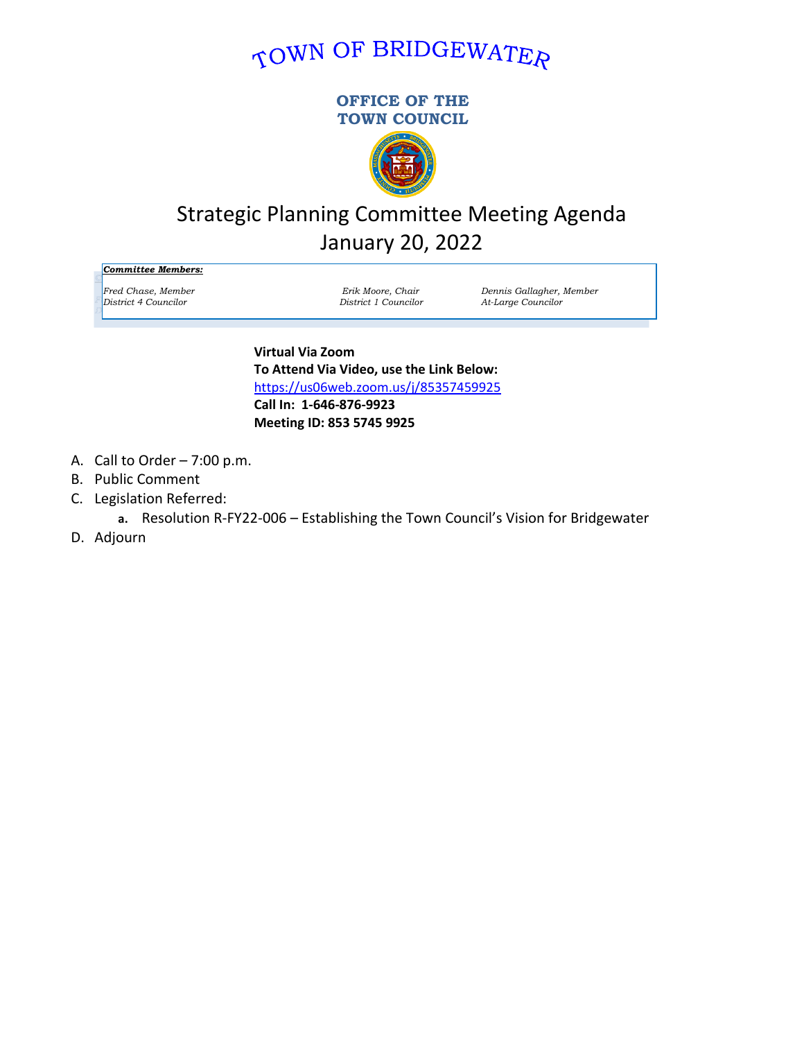# TOWN OF BRIDGEWATER

### **OFFICE OF THE TOWN COUNCIL**



# Strategic Planning Committee Meeting Agenda January 20, 2022

*Committee Members:*

*Fred Chase, Member Erik Moore, Chair Dennis Gallagher, Member District 4 Councilor District 1 Councilor At-Large Councilor*

> **Virtual Via Zoom To Attend Via Video, use the Link Below:** <https://us06web.zoom.us/j/85357459925> **Call In: 1-646-876-9923 Meeting ID: 853 5745 9925**

- A. Call to Order 7:00 p.m.
- B. Public Comment
- C. Legislation Referred:
	- **a.** Resolution R-FY22-006 Establishing the Town Council's Vision for Bridgewater
- D. Adjourn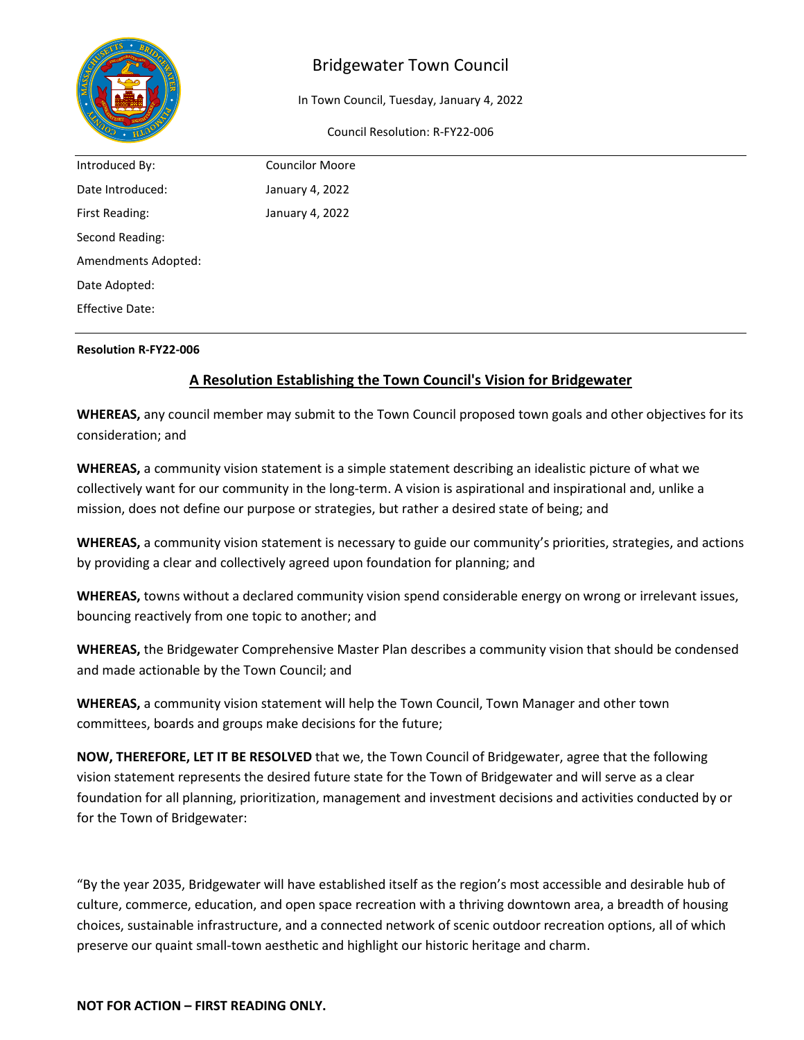

## Bridgewater Town Council

In Town Council, Tuesday, January 4, 2022

Council Resolution: R-FY22-006

| Introduced By:         | <b>Councilor Moore</b> |  |
|------------------------|------------------------|--|
| Date Introduced:       | January 4, 2022        |  |
| First Reading:         | January 4, 2022        |  |
| Second Reading:        |                        |  |
| Amendments Adopted:    |                        |  |
| Date Adopted:          |                        |  |
| <b>Effective Date:</b> |                        |  |
|                        |                        |  |

#### **Resolution R-FY22-006**

## **A Resolution Establishing the Town Council's Vision for Bridgewater**

**WHEREAS,** any council member may submit to the Town Council proposed town goals and other objectives for its consideration; and

**WHEREAS,** a community vision statement is a simple statement describing an idealistic picture of what we collectively want for our community in the long-term. A vision is aspirational and inspirational and, unlike a mission, does not define our purpose or strategies, but rather a desired state of being; and

**WHEREAS,** a community vision statement is necessary to guide our community's priorities, strategies, and actions by providing a clear and collectively agreed upon foundation for planning; and

**WHEREAS,** towns without a declared community vision spend considerable energy on wrong or irrelevant issues, bouncing reactively from one topic to another; and

**WHEREAS,** the Bridgewater Comprehensive Master Plan describes a community vision that should be condensed and made actionable by the Town Council; and

**WHEREAS,** a community vision statement will help the Town Council, Town Manager and other town committees, boards and groups make decisions for the future;

**NOW, THEREFORE, LET IT BE RESOLVED** that we, the Town Council of Bridgewater, agree that the following vision statement represents the desired future state for the Town of Bridgewater and will serve as a clear foundation for all planning, prioritization, management and investment decisions and activities conducted by or for the Town of Bridgewater:

"By the year 2035, Bridgewater will have established itself as the region's most accessible and desirable hub of culture, commerce, education, and open space recreation with a thriving downtown area, a breadth of housing choices, sustainable infrastructure, and a connected network of scenic outdoor recreation options, all of which preserve our quaint small-town aesthetic and highlight our historic heritage and charm.